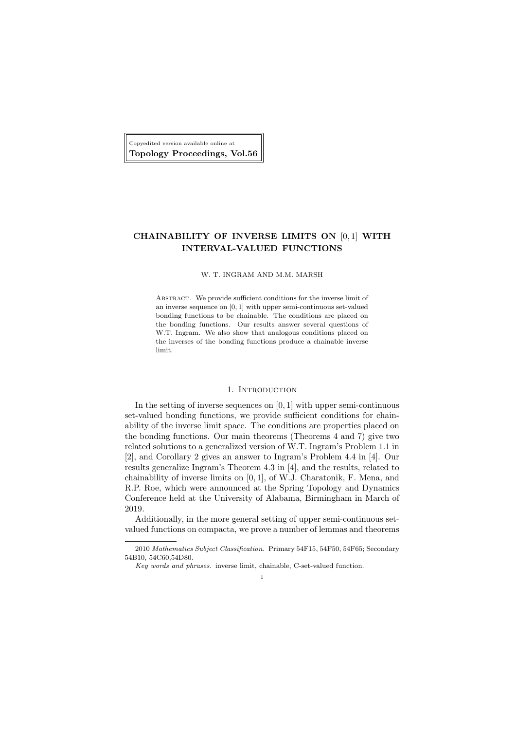Copyedited version available online at Topology Proceedings, Vol.56

# CHAINABILITY OF INVERSE LIMITS ON [0, 1] WITH INTERVAL-VALUED FUNCTIONS

#### W. T. INGRAM AND M.M. MARSH

Abstract. We provide sufficient conditions for the inverse limit of an inverse sequence on [0, 1] with upper semi-continuous set-valued bonding functions to be chainable. The conditions are placed on the bonding functions. Our results answer several questions of W.T. Ingram. We also show that analogous conditions placed on the inverses of the bonding functions produce a chainable inverse limit.

### 1. INTRODUCTION

In the setting of inverse sequences on  $[0, 1]$  with upper semi-continuous set-valued bonding functions, we provide sufficient conditions for chainability of the inverse limit space. The conditions are properties placed on the bonding functions. Our main theorems (Theorems 4 and 7) give two related solutions to a generalized version of W.T. Ingram's Problem 1.1 in [2], and Corollary 2 gives an answer to Ingram's Problem 4.4 in [4]. Our results generalize Ingram's Theorem 4.3 in [4], and the results, related to chainability of inverse limits on [0, 1], of W.J. Charatonik, F. Mena, and R.P. Roe, which were announced at the Spring Topology and Dynamics Conference held at the University of Alabama, Birmingham in March of 2019.

Additionally, in the more general setting of upper semi-continuous setvalued functions on compacta, we prove a number of lemmas and theorems

1

<sup>2010</sup> Mathematics Subject Classification. Primary 54F15, 54F50, 54F65; Secondary 54B10, 54C60,54D80.

Key words and phrases. inverse limit, chainable, C-set-valued function.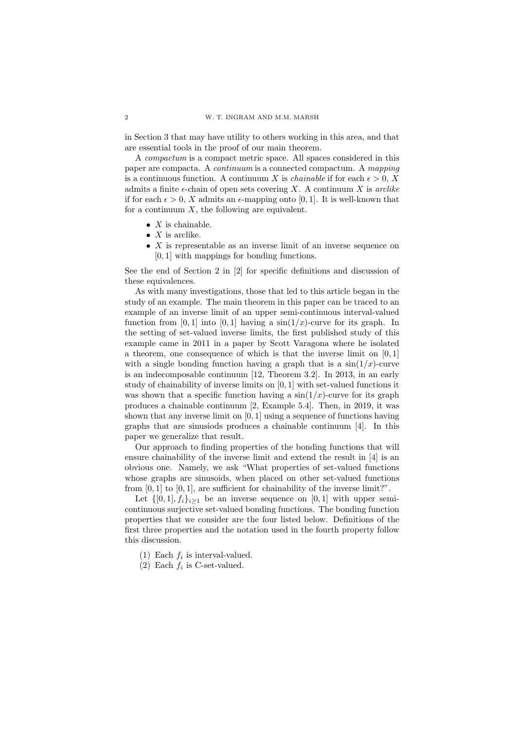in Section 3 that may have utility to others working in this area, and that are essential tools in the proof of our main theorem.

A compactum is a compact metric space. All spaces considered in this paper are compacta. A continuum is a connected compactum. A mapping is a continuous function. A continuum X is *chainable* if for each  $\epsilon > 0$ , X admits a finite  $\epsilon$ -chain of open sets covering X. A continuum X is arclike if for each  $\epsilon > 0$ , X admits an  $\epsilon$ -mapping onto [0, 1]. It is well-known that for a continuum  $X$ , the following are equivalent.

- $X$  is chainable.
- $X$  is arclike.
- $X$  is representable as an inverse limit of an inverse sequence on [0, 1] with mappings for bonding functions.

See the end of Section 2 in [2] for specific definitions and discussion of these equivalences.

As with many investigations, those that led to this article began in the study of an example. The main theorem in this paper can be traced to an example of an inverse limit of an upper semi-continuous interval-valued function from [0, 1] into [0, 1] having a  $\sin(1/x)$ -curve for its graph. In the setting of set-valued inverse limits, the first published study of this example came in 2011 in a paper by Scott Varagona where he isolated a theorem, one consequence of which is that the inverse limit on  $[0,1]$ with a single bonding function having a graph that is a  $sin(1/x)$ -curve is an indecomposable continuum [12, Theorem 3.2]. In 2013, in an early study of chainability of inverse limits on [0, 1] with set-valued functions it was shown that a specific function having a  $\sin(1/x)$ -curve for its graph produces a chainable continuum [2, Example 5.4]. Then, in 2019, it was shown that any inverse limit on [0, 1] using a sequence of functions having graphs that are sinusiods produces a chainable continuum [4]. In this paper we generalize that result.

Our approach to finding properties of the bonding functions that will ensure chainability of the inverse limit and extend the result in [4] is an obvious one. Namely, we ask "What properties of set-valued functions whose graphs are sinusoids, when placed on other set-valued functions from  $[0, 1]$  to  $[0, 1]$ , are sufficient for chainability of the inverse limit?".

Let  $\{[0,1], f_i\}_{i\geq 1}$  be an inverse sequence on  $[0,1]$  with upper semicontinuous surjective set-valued bonding functions. The bonding function properties that we consider are the four listed below. Definitions of the first three properties and the notation used in the fourth property follow this discussion.

- (1) Each  $f_i$  is interval-valued.
- (2) Each  $f_i$  is C-set-valued.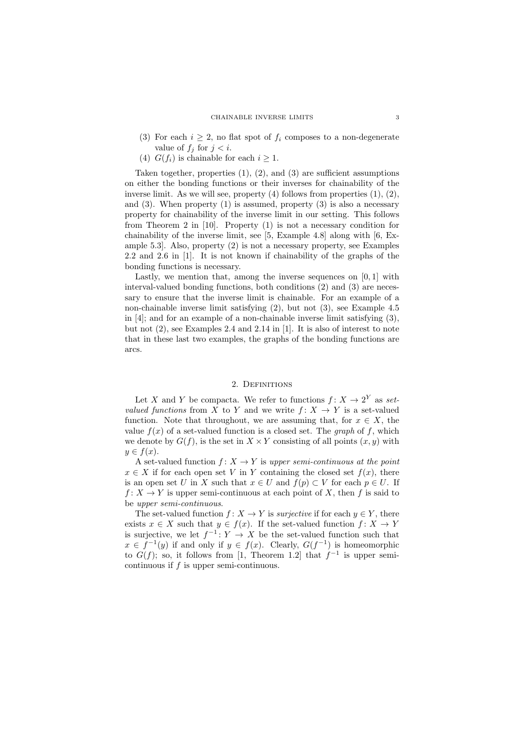- (3) For each  $i \geq 2$ , no flat spot of  $f_i$  composes to a non-degenerate value of  $f_i$  for  $i < i$ .
- (4)  $G(f_i)$  is chainable for each  $i > 1$ .

Taken together, properties  $(1)$ ,  $(2)$ , and  $(3)$  are sufficient assumptions on either the bonding functions or their inverses for chainability of the inverse limit. As we will see, property  $(4)$  follows from properties  $(1), (2),$ and  $(3)$ . When property  $(1)$  is assumed, property  $(3)$  is also a necessary property for chainability of the inverse limit in our setting. This follows from Theorem 2 in [10]. Property (1) is not a necessary condition for chainability of the inverse limit, see [5, Example 4.8] along with [6, Example 5.3]. Also, property (2) is not a necessary property, see Examples 2.2 and 2.6 in [1]. It is not known if chainability of the graphs of the bonding functions is necessary.

Lastly, we mention that, among the inverse sequences on  $[0, 1]$  with interval-valued bonding functions, both conditions (2) and (3) are necessary to ensure that the inverse limit is chainable. For an example of a non-chainable inverse limit satisfying (2), but not (3), see Example 4.5 in [4]; and for an example of a non-chainable inverse limit satisfying (3), but not (2), see Examples 2.4 and 2.14 in [1]. It is also of interest to note that in these last two examples, the graphs of the bonding functions are arcs.

## 2. DEFINITIONS

Let X and Y be compacta. We refer to functions  $f: X \to 2^Y$  as setvalued functions from X to Y and we write  $f: X \to Y$  is a set-valued function. Note that throughout, we are assuming that, for  $x \in X$ , the value  $f(x)$  of a set-valued function is a closed set. The *graph* of f, which we denote by  $G(f)$ , is the set in  $X \times Y$  consisting of all points  $(x, y)$  with  $y \in f(x)$ .

A set-valued function  $f: X \to Y$  is upper semi-continuous at the point  $x \in X$  if for each open set V in Y containing the closed set  $f(x)$ , there is an open set U in X such that  $x \in U$  and  $f(p) \subset V$  for each  $p \in U$ . If  $f: X \to Y$  is upper semi-continuous at each point of X, then f is said to be upper semi-continuous.

The set-valued function  $f: X \to Y$  is *surjective* if for each  $y \in Y$ , there exists  $x \in X$  such that  $y \in f(x)$ . If the set-valued function  $f: X \to Y$ is surjective, we let  $f^{-1}: Y \to X$  be the set-valued function such that  $x \in f^{-1}(y)$  if and only if  $y \in f(x)$ . Clearly,  $G(f^{-1})$  is homeomorphic to  $G(f)$ ; so, it follows from [1, Theorem 1.2] that  $f^{-1}$  is upper semicontinuous if  $f$  is upper semi-continuous.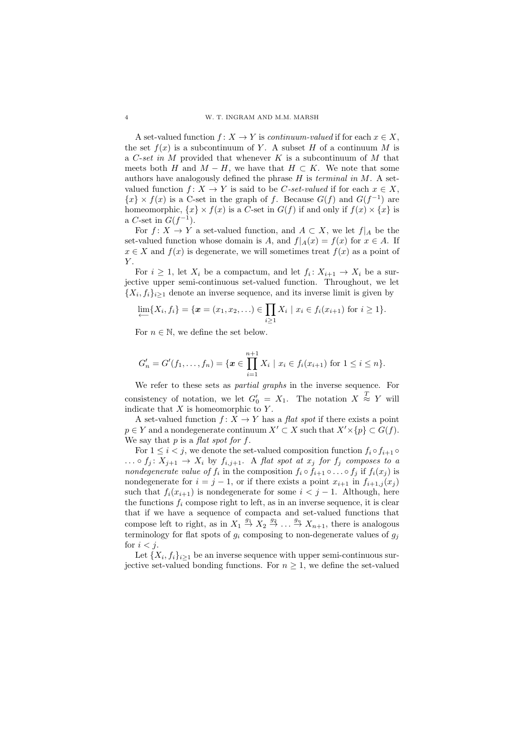A set-valued function  $f: X \to Y$  is *continuum-valued* if for each  $x \in X$ , the set  $f(x)$  is a subcontinuum of Y. A subset H of a continuum M is a C-set in M provided that whenever K is a subcontinuum of M that meets both H and  $M - H$ , we have that  $H \subset K$ . We note that some authors have analogously defined the phrase  $H$  is *terminal in*  $M$ . A setvalued function  $f: X \to Y$  is said to be C-set-valued if for each  $x \in X$ ,  ${x} \times f(x)$  is a C-set in the graph of f. Because  $G(f)$  and  $G(f^{-1})$  are homeomorphic,  $\{x\} \times f(x)$  is a C-set in  $G(f)$  if and only if  $f(x) \times \{x\}$  is a C-set in  $G(f^{-1})$ .

For  $f: X \to Y$  a set-valued function, and  $A \subset X$ , we let  $f|_A$  be the set-valued function whose domain is A, and  $f|_A(x) = f(x)$  for  $x \in A$ . If  $x \in X$  and  $f(x)$  is degenerate, we will sometimes treat  $f(x)$  as a point of Y.

For  $i \geq 1$ , let  $X_i$  be a compactum, and let  $f_i: X_{i+1} \to X_i$  be a surjective upper semi-continuous set-valued function. Throughout, we let  $\{X_i, f_i\}_{i\geq 1}$  denote an inverse sequence, and its inverse limit is given by

$$
\lim_{i \to \infty} \{X_i, f_i\} = \{ \pmb{x} = (x_1, x_2, \ldots) \in \prod_{i \geq 1} X_i \mid x_i \in f_i(x_{i+1}) \text{ for } i \geq 1 \}.
$$

For  $n \in \mathbb{N}$ , we define the set below.

$$
G'_{n} = G'(f_{1},...,f_{n}) = \{ \boldsymbol{x} \in \prod_{i=1}^{n+1} X_{i} \mid x_{i} \in f_{i}(x_{i+1}) \text{ for } 1 \leq i \leq n \}.
$$

We refer to these sets as partial graphs in the inverse sequence. For consistency of notation, we let  $G'_0 = X_1$ . The notation  $X \stackrel{T}{\approx} Y$  will indicate that  $X$  is homeomorphic to  $Y$ .

A set-valued function  $f: X \to Y$  has a flat spot if there exists a point  $p \in Y$  and a nondegenerate continuum  $X' \subset X$  such that  $X' \times \{p\} \subset G(f)$ . We say that  $p$  is a flat spot for  $f$ .

For  $1 \leq i \leq j$ , we denote the set-valued composition function  $f_i \circ f_{i+1} \circ f_i$  $\ldots \circ f_i \colon X_{i+1} \to X_i$  by  $f_{i,i+1}$ . A flat spot at  $x_i$  for  $f_i$  composes to a *nondegenerate value of*  $f_i$  in the composition  $f_i \circ f_{i+1} \circ \ldots \circ f_j$  if  $f_i(x_j)$  is nondegenerate for  $i = j - 1$ , or if there exists a point  $x_{i+1}$  in  $f_{i+1,j}(x_i)$ such that  $f_i(x_{i+1})$  is nondegenerate for some  $i < j-1$ . Although, here the functions  $f_i$  compose right to left, as in an inverse sequence, it is clear that if we have a sequence of compacta and set-valued functions that compose left to right, as in  $X_1 \stackrel{g_1}{\rightarrow} X_2 \stackrel{g_2}{\rightarrow} \dots \stackrel{g_n}{\rightarrow} X_{n+1}$ , there is analogous terminology for flat spots of  $g_i$  composing to non-degenerate values of  $g_j$ for  $i < j$ .

Let  $\{X_i, f_i\}_{i\geq 1}$  be an inverse sequence with upper semi-continuous surjective set-valued bonding functions. For  $n \geq 1$ , we define the set-valued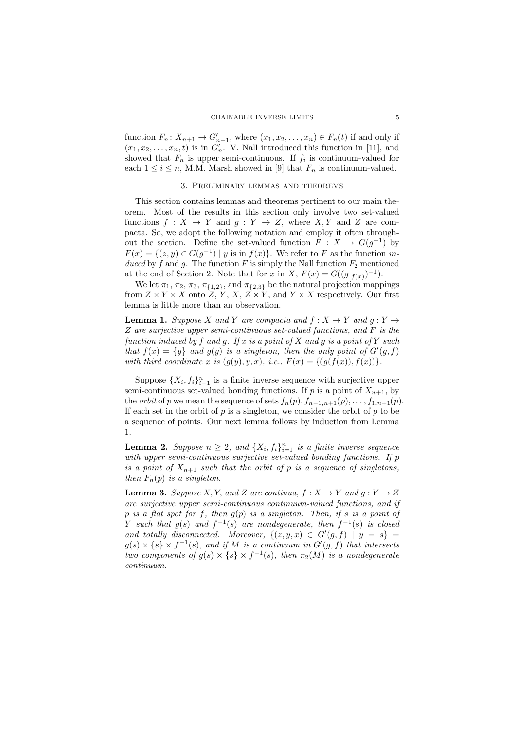function  $F_n: X_{n+1} \to G'_{n-1}$ , where  $(x_1, x_2, \ldots, x_n) \in F_n(t)$  if and only if  $(x_1, x_2, \ldots, x_n, t)$  is in  $G'_n$ . V. Nall introduced this function in [11], and showed that  $F_n$  is upper semi-continuous. If  $f_i$  is continuum-valued for each  $1 \leq i \leq n$ , M.M. Marsh showed in [9] that  $F_n$  is continuum-valued.

### 3. Preliminary lemmas and theorems

This section contains lemmas and theorems pertinent to our main theorem. Most of the results in this section only involve two set-valued functions  $f: X \to Y$  and  $g: Y \to Z$ , where X, Y and Z are compacta. So, we adopt the following notation and employ it often throughout the section. Define the set-valued function  $F: X \to G(g^{-1})$  by  $F(x) = \{(z, y) \in G(g^{-1}) \mid y \text{ is in } f(x)\}.$  We refer to F as the function induced by f and g. The function F is simply the Nall function  $F_2$  mentioned at the end of Section 2. Note that for x in X,  $F(x) = G((g|_{f(x)})^{-1})$ .

We let  $\pi_1$ ,  $\pi_2$ ,  $\pi_3$ ,  $\pi_{\{1,2\}}$ , and  $\pi_{\{2,3\}}$  be the natural projection mappings from  $Z \times Y \times X$  onto  $Z, Y, X, Z \times Y$ , and  $Y \times X$  respectively. Our first lemma is little more than an observation.

**Lemma 1.** Suppose X and Y are compacta and  $f : X \to Y$  and  $g : Y \to Y$ Z are surjective upper semi-continuous set-valued functions, and F is the function induced by f and g. If x is a point of X and y is a point of Y such that  $f(x) = \{y\}$  and  $g(y)$  is a singleton, then the only point of  $G'(g, f)$ with third coordinate x is  $(g(y), y, x)$ , i.e.,  $F(x) = \{ (g(f(x)), f(x)) \}.$ 

Suppose  $\{X_i, f_i\}_{i=1}^n$  is a finite inverse sequence with surjective upper semi-continuous set-valued bonding functions. If p is a point of  $X_{n+1}$ , by the *orbit* of p we mean the sequence of sets  $f_n(p), f_{n-1,n+1}(p), \ldots, f_{1,n+1}(p)$ . If each set in the orbit of  $p$  is a singleton, we consider the orbit of  $p$  to be a sequence of points. Our next lemma follows by induction from Lemma 1.

**Lemma 2.** Suppose  $n \geq 2$ , and  $\{X_i, f_i\}_{i=1}^n$  is a finite inverse sequence with upper semi-continuous surjective set-valued bonding functions. If p is a point of  $X_{n+1}$  such that the orbit of p is a sequence of singletons, then  $F_n(p)$  is a singleton.

**Lemma 3.** Suppose X, Y, and Z are continua,  $f: X \to Y$  and  $g: Y \to Z$ are surjective upper semi-continuous continuum-valued functions, and if p is a flat spot for f, then  $g(p)$  is a singleton. Then, if s is a point of Y such that  $g(s)$  and  $f^{-1}(s)$  are nondegenerate, then  $f^{-1}(s)$  is closed and totally disconnected. Moreover,  $\{(z, y, x) \in G'(g, f) \mid y = s\}$  $g(s) \times \{s\} \times f^{-1}(s)$ , and if M is a continuum in  $G'(g, f)$  that intersects two components of  $g(s) \times \{s\} \times f^{-1}(s)$ , then  $\pi_2(M)$  is a nondegenerate continuum.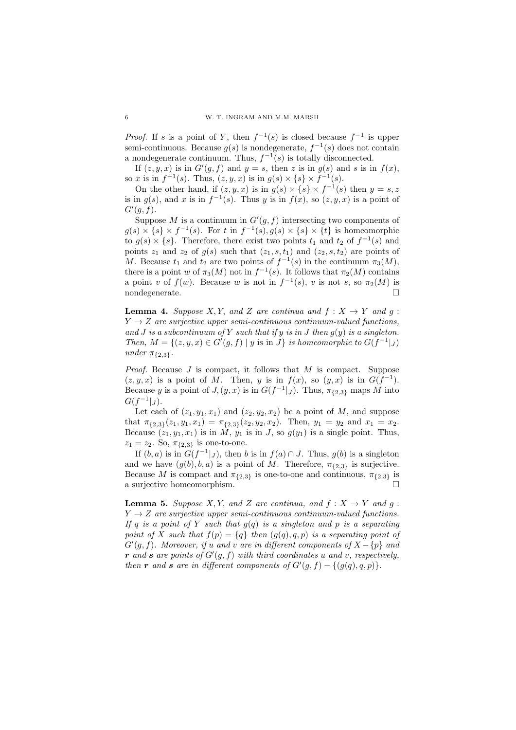*Proof.* If s is a point of Y, then  $f^{-1}(s)$  is closed because  $f^{-1}$  is upper semi-continuous. Because  $g(s)$  is nondegenerate,  $f^{-1}(s)$  does not contain a nondegenerate continuum. Thus,  $f^{-1}(s)$  is totally disconnected.

If  $(z, y, x)$  is in  $G'(g, f)$  and  $y = s$ , then z is in  $g(s)$  and s is in  $f(x)$ , so x is in  $f^{-1}(s)$ . Thus,  $(z, y, x)$  is in  $g(s) \times \{s\} \times f^{-1}(s)$ .

On the other hand, if  $(z, y, x)$  is in  $g(s) \times \{s\} \times f^{-1}(s)$  then  $y = s, z$ is in  $g(s)$ , and x is in  $f^{-1}(s)$ . Thus y is in  $f(x)$ , so  $(z, y, x)$  is a point of  $G'(g, f)$ .

Suppose M is a continuum in  $G'(g, f)$  intersecting two components of  $g(s) \times \{s\} \times f^{-1}(s)$ . For t in  $f^{-1}(s)$ ,  $g(s) \times \{s\} \times \{t\}$  is homeomorphic to  $g(s) \times \{s\}$ . Therefore, there exist two points  $t_1$  and  $t_2$  of  $f^{-1}(s)$  and points  $z_1$  and  $z_2$  of  $g(s)$  such that  $(z_1, s, t_1)$  and  $(z_2, s, t_2)$  are points of M. Because  $t_1$  and  $t_2$  are two points of  $f^{-1}(s)$  in the continuum  $\pi_3(M)$ , there is a point w of  $\pi_3(M)$  not in  $f^{-1}(s)$ . It follows that  $\pi_2(M)$  contains a point v of  $f(w)$ . Because w is not in  $f^{-1}(s)$ , v is not s, so  $\pi_2(M)$  is nondegenerate.  $\Box$ 

**Lemma 4.** Suppose X, Y, and Z are continua and  $f: X \rightarrow Y$  and  $g: Y$  $Y \rightarrow Z$  are surjective upper semi-continuous continuum-valued functions, and J is a subcontinuum of Y such that if y is in J then  $g(y)$  is a singleton. Then,  $M = \{(z, y, x) \in G'(g, f) \mid y \text{ is in } J\}$  is homeomorphic to  $G(f^{-1}|_J)$ under  $\pi_{\{2,3\}}$ .

*Proof.* Because  $J$  is compact, it follows that  $M$  is compact. Suppose  $(z, y, x)$  is a point of M. Then, y is in  $f(x)$ , so  $(y, x)$  is in  $G(f^{-1})$ . Because y is a point of  $J(y, x)$  is in  $G(f^{-1}|_J)$ . Thus,  $\pi_{\{2,3\}}$  maps M into  $G(f^{-1}|_J).$ 

Let each of  $(z_1, y_1, x_1)$  and  $(z_2, y_2, x_2)$  be a point of M, and suppose that  $\pi_{\{2,3\}}(z_1, y_1, x_1) = \pi_{\{2,3\}}(z_2, y_2, x_2)$ . Then,  $y_1 = y_2$  and  $x_1 = x_2$ . Because  $(z_1, y_1, x_1)$  is in  $\tilde{M}$ ,  $y_1$  is in J, so  $g(y_1)$  is a single point. Thus,  $z_1 = z_2$ . So,  $\pi_{\{2,3\}}$  is one-to-one.

If  $(b, a)$  is in  $G(f^{-1}|_J)$ , then b is in  $f(a) \cap J$ . Thus,  $g(b)$  is a singleton and we have  $(g(b), b, a)$  is a point of M. Therefore,  $\pi_{\{2,3\}}$  is surjective. Because M is compact and  $\pi_{\{2,3\}}$  is one-to-one and continuous,  $\pi_{\{2,3\}}$  is a surjective homeomorphism.

**Lemma 5.** Suppose X, Y, and Z are continua, and  $f: X \rightarrow Y$  and  $g:$  $Y \rightarrow Z$  are surjective upper semi-continuous continuum-valued functions. If q is a point of Y such that  $g(q)$  is a singleton and p is a separating point of X such that  $f(p) = \{q\}$  then  $(g(q), q, p)$  is a separating point of  $G'(g, f)$ . Moreover, if u and v are in different components of  $X - \{p\}$  and r and s are points of  $G'(g, f)$  with third coordinates u and v, respectively, then r and s are in different components of  $G'(g, f) - \{(g(q), q, p)\}.$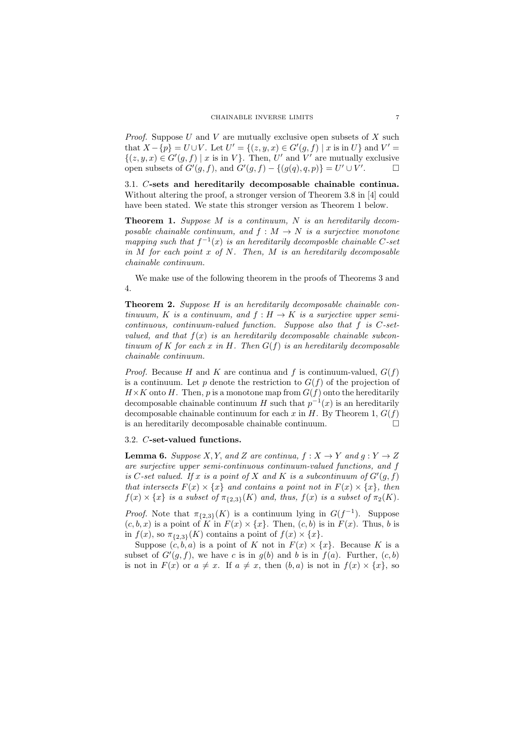*Proof.* Suppose  $U$  and  $V$  are mutually exclusive open subsets of  $X$  such that  $X - \{p\} = U \cup V$ . Let  $U' = \{(z, y, x) \in G'(g, f) \mid x \text{ is in } U\}$  and  $V' =$  $\{(z, y, x) \in G'(g, f) \mid x \text{ is in } V\}.$  Then, U' and V' are mutually exclusive open subsets of  $G'(g, f)$ , and  $G'(g, f) - \{(g(q), q, p)\} = U' \cup V'$ . — П

3.1. C-sets and hereditarily decomposable chainable continua. Without altering the proof, a stronger version of Theorem 3.8 in [4] could have been stated. We state this stronger version as Theorem 1 below.

**Theorem 1.** Suppose  $M$  is a continuum,  $N$  is an hereditarily decomposable chainable continuum, and  $f : M \to N$  is a surjective monotone mapping such that  $f^{-1}(x)$  is an hereditarily decomposble chainable C-set in  $M$  for each point  $x$  of  $N$ . Then,  $M$  is an hereditarily decomposable chainable continuum.

We make use of the following theorem in the proofs of Theorems 3 and 4.

Theorem 2. Suppose H is an hereditarily decomposable chainable continuuum, K is a continuum, and  $f : H \to K$  is a surjective upper semi $continuous,$  continuum-valued function. Suppose also that f is  $C$ -setvalued, and that  $f(x)$  is an hereditarily decomposable chainable subcontinuum of K for each x in H. Then  $G(f)$  is an hereditarily decomposable chainable continuum.

*Proof.* Because H and K are continua and f is continuum-valued,  $G(f)$ is a continuum. Let p denote the restriction to  $G(f)$  of the projection of  $H\times K$  onto H. Then, p is a monotone map from  $G(f)$  onto the hereditarily decomposable chainable continuum H such that  $p^{-1}(x)$  is an hereditarily decomposable chainable continuum for each x in H. By Theorem 1,  $G(f)$ is an hereditarily decomposable chainable continuum.

# 3.2. C-set-valued functions.

**Lemma 6.** Suppose X, Y, and Z are continua,  $f: X \to Y$  and  $g: Y \to Z$ are surjective upper semi-continuous continuum-valued functions, and f is C-set valued. If x is a point of X and K is a subcontinuum of  $G'(g, f)$ that intersects  $F(x) \times \{x\}$  and contains a point not in  $F(x) \times \{x\}$ , then  $f(x) \times \{x\}$  is a subset of  $\pi_{\{2,3\}}(K)$  and, thus,  $f(x)$  is a subset of  $\pi_2(K)$ .

*Proof.* Note that  $\pi_{\{2,3\}}(K)$  is a continuum lying in  $G(f^{-1})$ . Suppose  $(c, b, x)$  is a point of K in  $F(x) \times \{x\}$ . Then,  $(c, b)$  is in  $F(x)$ . Thus, b is in  $f(x)$ , so  $\pi_{\{2,3\}}(K)$  contains a point of  $f(x) \times \{x\}$ .

Suppose  $(c, b, a)$  is a point of K not in  $F(x) \times \{x\}$ . Because K is a subset of  $G'(g, f)$ , we have c is in  $g(b)$  and b is in  $f(a)$ . Further,  $(c, b)$ is not in  $F(x)$  or  $a \neq x$ . If  $a \neq x$ , then  $(b, a)$  is not in  $f(x) \times \{x\}$ , so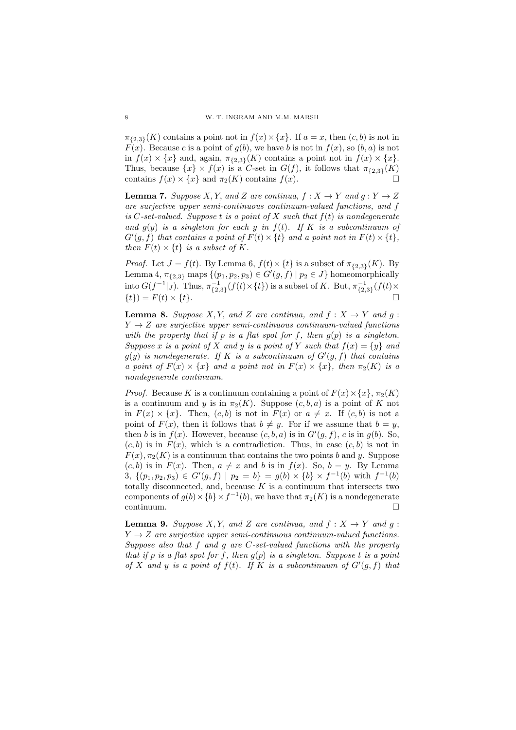$\pi_{\{2,3\}}(K)$  contains a point not in  $f(x) \times \{x\}$ . If  $a = x$ , then  $(c, b)$  is not in  $F(x)$ . Because c is a point of  $q(b)$ , we have b is not in  $f(x)$ , so  $(b, a)$  is not in  $f(x) \times \{x\}$  and, again,  $\pi_{\{2,3\}}(K)$  contains a point not in  $f(x) \times \{x\}$ . Thus, because  $\{x\} \times f(x)$  is a C-set in  $G(f)$ , it follows that  $\pi_{\{2,3\}}(K)$ contains  $f(x) \times \{x\}$  and  $\pi_2(K)$  contains  $f(x)$ .

**Lemma 7.** Suppose X, Y, and Z are continua,  $f : X \to Y$  and  $g : Y \to Z$ are surjective upper semi-continuous continuum-valued functions, and f is C-set-valued. Suppose t is a point of X such that  $f(t)$  is nondegenerate and  $q(y)$  is a singleton for each y in  $f(t)$ . If K is a subcontinuum of  $G'(g, f)$  that contains a point of  $F(t) \times \{t\}$  and a point not in  $F(t) \times \{t\}$ , then  $F(t) \times \{t\}$  is a subset of K.

*Proof.* Let  $J = f(t)$ . By Lemma 6,  $f(t) \times \{t\}$  is a subset of  $\pi_{\{2,3\}}(K)$ . By Lemma 4,  $\pi_{\{2,3\}}$  maps  $\{(p_1, p_2, p_3) \in G'(g, f) \mid p_2 \in J\}$  homeomorphically into  $G(f^{-1}|_J)$ . Thus,  $\pi_{\{2,3\}}^{-1}(f(t)\times\{t\})$  is a subset of K. But,  $\pi_{\{2,3\}}^{-1}(f(t)\times\{t\})$  $\{t\}$  =  $F(t) \times \{t\}$ .

**Lemma 8.** Suppose X, Y, and Z are continua, and  $f: X \rightarrow Y$  and  $g: Y$  $Y \rightarrow Z$  are surjective upper semi-continuous continuum-valued functions with the property that if p is a flat spot for f, then  $g(p)$  is a singleton. Suppose x is a point of X and y is a point of Y such that  $f(x) = \{y\}$  and  $g(y)$  is nondegenerate. If K is a subcontinuum of  $G'(g, f)$  that contains a point of  $F(x) \times \{x\}$  and a point not in  $F(x) \times \{x\}$ , then  $\pi_2(K)$  is a nondegenerate continuum.

*Proof.* Because K is a continuum containing a point of  $F(x) \times \{x\}$ ,  $\pi_2(K)$ is a continuum and y is in  $\pi_2(K)$ . Suppose  $(c, b, a)$  is a point of K not in  $F(x) \times \{x\}$ . Then,  $(c, b)$  is not in  $F(x)$  or  $a \neq x$ . If  $(c, b)$  is not a point of  $F(x)$ , then it follows that  $b \neq y$ . For if we assume that  $b = y$ , then b is in  $f(x)$ . However, because  $(c, b, a)$  is in  $G'(g, f)$ , c is in  $g(b)$ . So,  $(c, b)$  is in  $F(x)$ , which is a contradiction. Thus, in case  $(c, b)$  is not in  $F(x), \pi_2(K)$  is a continuum that contains the two points b and y. Suppose  $(c, b)$  is in  $F(x)$ . Then,  $a \neq x$  and b is in  $f(x)$ . So,  $b = y$ . By Lemma 3,  $\{(p_1, p_2, p_3) \in G'(g, f) \mid p_2 = b\} = g(b) \times \{b\} \times f^{-1}(b)$  with  $f^{-1}(b)$ totally disconnected, and, because  $K$  is a continuum that intersects two components of  $g(b) \times \{b\} \times f^{-1}(b)$ , we have that  $\pi_2(K)$  is a nondegenerate  $\Box$ continuum.

**Lemma 9.** Suppose X, Y, and Z are continua, and  $f: X \rightarrow Y$  and  $g:$  $Y \rightarrow Z$  are surjective upper semi-continuous continuum-valued functions. Suppose also that f and g are C-set-valued functions with the property that if p is a flat spot for f, then  $q(p)$  is a singleton. Suppose t is a point of X and y is a point of  $f(t)$ . If K is a subcontinuum of  $G'(g, f)$  that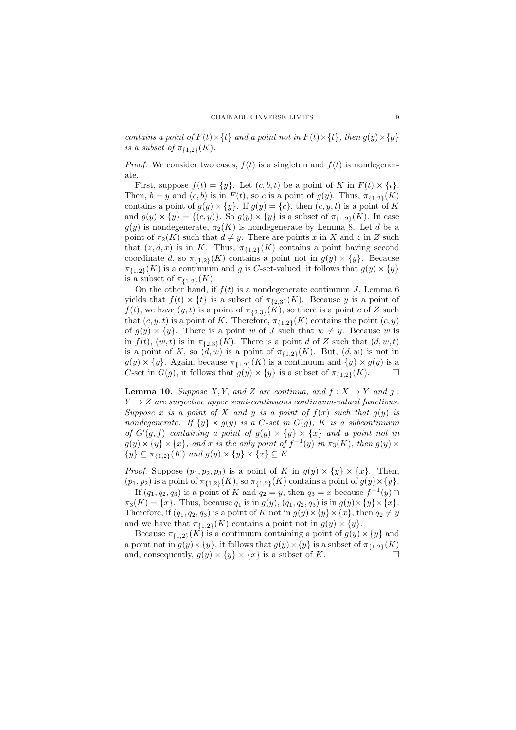contains a point of  $F(t) \times \{t\}$  and a point not in  $F(t) \times \{t\}$ , then  $g(y) \times \{y\}$ is a subset of  $\pi_{11,23}(K)$ .

*Proof.* We consider two cases,  $f(t)$  is a singleton and  $f(t)$  is nondegenerate.

First, suppose  $f(t) = \{y\}$ . Let  $(c, b, t)$  be a point of K in  $F(t) \times \{t\}$ . Then,  $b = y$  and  $(c, b)$  is in  $F(t)$ , so c is a point of  $g(y)$ . Thus,  $\pi_{\{1,2\}}(K)$ contains a point of  $g(y) \times \{y\}$ . If  $g(y) = \{c\}$ , then  $(c, y, t)$  is a point of K and  $g(y) \times \{y\} = \{(c, y)\}\.$  So  $g(y) \times \{y\}$  is a subset of  $\pi_{\{1,2\}}(K)$ . In case  $g(y)$  is nondegenerate,  $\pi_2(K)$  is nondegenerate by Lemma 8. Let d be a point of  $\pi_2(K)$  such that  $d \neq y$ . There are points x in X and z in Z such that  $(z, d, x)$  is in K. Thus,  $\pi_{\{1,2\}}(K)$  contains a point having second coordinate d, so  $\pi_{\{1,2\}}(K)$  contains a point not in  $g(y) \times \{y\}$ . Because  $\pi_{\{1,2\}}(K)$  is a continuum and g is C-set-valued, it follows that  $g(y) \times \{y\}$ is a subset of  $\pi_{\{1,2\}}(K)$ .

On the other hand, if  $f(t)$  is a nondegenerate continuum J, Lemma 6 yields that  $f(t) \times \{t\}$  is a subset of  $\pi_{\{2,3\}}(K)$ . Because y is a point of  $f(t)$ , we have  $(y, t)$  is a point of  $\pi_{\{2,3\}}(K)$ , so there is a point c of Z such that  $(c, y, t)$  is a point of K. Therefore,  $\pi_{\{1,2\}}(K)$  contains the point  $(c, y)$ of  $g(y) \times \{y\}$ . There is a point w of J such that  $w \neq y$ . Because w is in  $f(t)$ ,  $(w, t)$  is in  $\pi_{\{2,3\}}(K)$ . There is a point d of Z such that  $(d, w, t)$ is a point of K, so  $(d, w)$  is a point of  $\pi_{\{1,2\}}(K)$ . But,  $(d, w)$  is not in  $g(y) \times \{y\}$ . Again, because  $\pi_{\{1,2\}}(K)$  is a continuum and  $\{y\} \times g(y)$  is a C-set in  $G(g)$ , it follows that  $g(y) \times \{y\}$  is a subset of  $\pi_{\{1,2\}}(K)$ .

**Lemma 10.** Suppose X, Y, and Z are continua, and  $f: X \to Y$  and  $g: Y$  $Y \rightarrow Z$  are surjective upper semi-continuous continuum-valued functions. Suppose x is a point of X and y is a point of  $f(x)$  such that  $g(y)$  is nondegenerate. If  $\{y\} \times g(y)$  is a C-set in  $G(g)$ , K is a subcontinuum of  $G'(g, f)$  containing a point of  $g(y) \times \{y\} \times \{x\}$  and a point not in  $g(y) \times \{y\} \times \{x\}$ , and x is the only point of  $f^{-1}(y)$  in  $\pi_3(K)$ , then  $g(y) \times$  $\{y\} \subseteq \pi_{\{1,2\}}(K)$  and  $g(y) \times \{y\} \times \{x\} \subseteq K$ .

*Proof.* Suppose  $(p_1, p_2, p_3)$  is a point of K in  $g(y) \times \{y\} \times \{x\}$ . Then,  $(p_1, p_2)$  is a point of  $\pi_{\{1,2\}}(K)$ , so  $\pi_{\{1,2\}}(K)$  contains a point of  $g(y) \times \{y\}.$ 

If  $(q_1, q_2, q_3)$  is a point of K and  $q_2 = y$ , then  $q_3 = x$  because  $f^{-1}(y) \cap$  $\pi_3(K) = \{x\}.$  Thus, because  $q_1$  is in  $g(y)$ ,  $(q_1, q_2, q_3)$  is in  $g(y) \times \{y\} \times \{x\}.$ Therefore, if  $(q_1, q_2, q_3)$  is a point of K not in  $g(y) \times \{y\} \times \{x\}$ , then  $q_2 \neq y$ and we have that  $\pi_{\{1,2\}}(K)$  contains a point not in  $g(y) \times \{y\}.$ 

Because  $\pi_{\{1,2\}}(K)$  is a continuum containing a point of  $g(y) \times \{y\}$  and a point not in  $g(y) \times \{y\}$ , it follows that  $g(y) \times \{y\}$  is a subset of  $\pi_{\{1,2\}}(K)$ and, consequently,  $g(y) \times \{y\} \times \{x\}$  is a subset of K.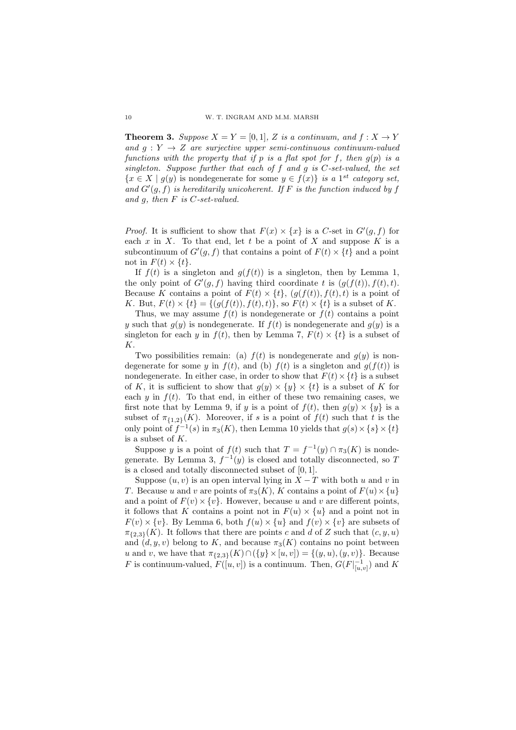**Theorem 3.** Suppose  $X = Y = [0, 1]$ , Z is a continuum, and  $f : X \to Y$ and  $q: Y \rightarrow Z$  are surjective upper semi-continuous continuum-valued functions with the property that if p is a flat spot for f, then  $q(p)$  is a singleton. Suppose further that each of  $f$  and  $g$  is  $C$ -set-valued, the set  $\{x \in X \mid g(y) \text{ is nondegenerate for some } y \in f(x)\}\$ is a 1<sup>st</sup> category set, and  $G'(g, f)$  is hereditarily unicoherent. If F is the function induced by f and  $g$ , then  $F$  is  $C$ -set-valued.

*Proof.* It is sufficient to show that  $F(x) \times \{x\}$  is a C-set in  $G'(g, f)$  for each  $x$  in  $X$ . To that end, let  $t$  be a point of  $X$  and suppose  $K$  is a subcontinuum of  $G'(g, f)$  that contains a point of  $F(t) \times \{t\}$  and a point not in  $F(t) \times \{t\}$ .

If  $f(t)$  is a singleton and  $g(f(t))$  is a singleton, then by Lemma 1, the only point of  $G'(g, f)$  having third coordinate t is  $(g(f(t)), f(t), t)$ . Because K contains a point of  $F(t) \times \{t\}$ ,  $(g(f(t)), f(t), t)$  is a point of K. But,  $F(t) \times \{t\} = \{(q(f(t)), f(t), t)\}\)$ , so  $F(t) \times \{t\}$  is a subset of K.

Thus, we may assume  $f(t)$  is nondegenerate or  $f(t)$  contains a point y such that  $g(y)$  is nondegenerate. If  $f(t)$  is nondegenerate and  $g(y)$  is a singleton for each y in  $f(t)$ , then by Lemma 7,  $F(t) \times \{t\}$  is a subset of K.

Two possibilities remain: (a)  $f(t)$  is nondegenerate and  $g(y)$  is nondegenerate for some y in  $f(t)$ , and (b)  $f(t)$  is a singleton and  $g(f(t))$  is nondegenerate. In either case, in order to show that  $F(t) \times \{t\}$  is a subset of K, it is sufficient to show that  $g(y) \times \{y\} \times \{t\}$  is a subset of K for each y in  $f(t)$ . To that end, in either of these two remaining cases, we first note that by Lemma 9, if y is a point of  $f(t)$ , then  $g(y) \times \{y\}$  is a subset of  $\pi_{\{1,2\}}(K)$ . Moreover, if s is a point of  $f(t)$  such that t is the only point of  $f^{-1}(s)$  in  $\pi_3(K)$ , then Lemma 10 yields that  $g(s) \times \{s\} \times \{t\}$ is a subset of K.

Suppose y is a point of  $f(t)$  such that  $T = f^{-1}(y) \cap \pi_3(K)$  is nondegenerate. By Lemma 3,  $f^{-1}(y)$  is closed and totally disconnected, so T is a closed and totally disconnected subset of [0, 1].

Suppose  $(u, v)$  is an open interval lying in  $\overline{X} - \overline{T}$  with both u and v in T. Because u and v are points of  $\pi_3(K)$ , K contains a point of  $F(u) \times \{u\}$ and a point of  $F(v) \times \{v\}$ . However, because u and v are different points, it follows that K contains a point not in  $F(u) \times \{u\}$  and a point not in  $F(v) \times \{v\}$ . By Lemma 6, both  $f(u) \times \{u\}$  and  $f(v) \times \{v\}$  are subsets of  $\pi_{\{2,3\}}(K)$ . It follows that there are points c and d of Z such that  $(c, y, u)$ and  $(d, y, v)$  belong to K, and because  $\pi_3(K)$  contains no point between u and v, we have that  $\pi_{\{2,3\}}(K) \cap (\{y\} \times [u, v]) = \{(y, u), (y, v)\}.$  Because F is continuum-valued,  $F([u, v])$  is a continuum. Then,  $G(F|_{[u, v]}^{-1})$  and K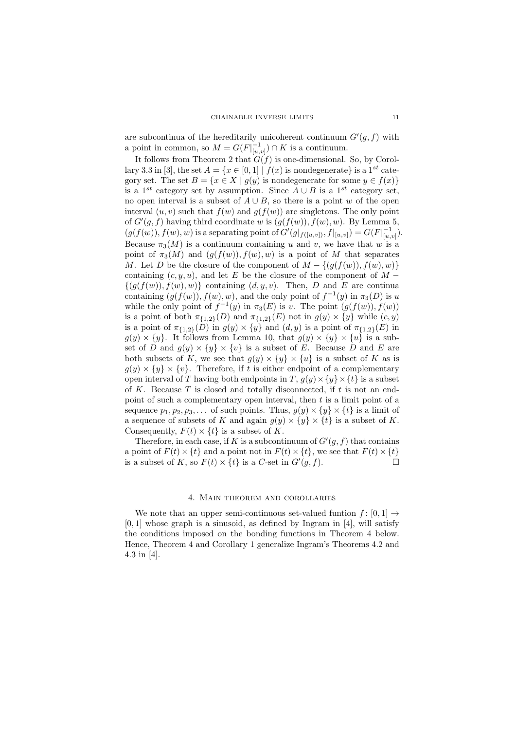are subcontinua of the hereditarily unicoherent continuum  $G'(g, f)$  with a point in common, so  $M = G(F|_{[u,v]}^{-1}) \cap K$  is a continuum.

It follows from Theorem 2 that  $G(f)$  is one-dimensional. So, by Corollary 3.3 in [3], the set  $A = \{x \in [0,1] | f(x) \text{ is nondegenerate}\}\$ is a 1<sup>st</sup> category set. The set  $B = \{x \in X \mid g(y) \text{ is nondegenerate for some } y \in f(x)\}\$ is a 1<sup>st</sup> category set by assumption. Since  $A \cup B$  is a 1<sup>st</sup> category set, no open interval is a subset of  $A \cup B$ , so there is a point w of the open interval  $(u, v)$  such that  $f(w)$  and  $g(f(w))$  are singletons. The only point of  $G'(g, f)$  having third coordinate w is  $(g(f(w)), f(w), w)$ . By Lemma 5,  $(g(f(w)), f(w), w)$  is a separating point of  $G'(g|_{f([u,v])}, f|_{[u,v]}) = G(F|_{[u,v]}^{-1}).$ Because  $\pi_3(M)$  is a continuum containing u and v, we have that w is a point of  $\pi_3(M)$  and  $(g(f(w)), f(w), w)$  is a point of M that separates M. Let D be the closure of the component of  $M - \{ (g(f(w)), f(w), w) \}$ containing  $(c, y, u)$ , and let E be the closure of the component of M −  $\{(q(f(w)), f(w), w)\}\$ containing  $(d, y, v)$ . Then, D and E are continual containing  $(g(f(w)), f(w), w)$ , and the only point of  $f^{-1}(y)$  in  $\pi_3(D)$  is u while the only point of  $f^{-1}(y)$  in  $\pi_3(E)$  is v. The point  $(g(f(w)), f(w))$ is a point of both  $\pi_{\{1,2\}}(D)$  and  $\pi_{\{1,2\}}(E)$  not in  $g(y) \times \{y\}$  while  $(c, y)$ is a point of  $\pi_{\{1,2\}}(\tilde{D})$  in  $g(y) \times \{y\}$  and  $(d, y)$  is a point of  $\pi_{\{1,2\}}(E)$  in  $g(y) \times \{y\}$ . It follows from Lemma 10, that  $g(y) \times \{y\} \times \{u\}$  is a subset of D and  $g(y) \times \{y\} \times \{v\}$  is a subset of E. Because D and E are both subsets of K, we see that  $g(y) \times \{y\} \times \{u\}$  is a subset of K as is  $g(y) \times \{y\} \times \{v\}$ . Therefore, if t is either endpoint of a complementary open interval of T having both endpoints in T,  $g(y) \times \{y\} \times \{t\}$  is a subset of K. Because  $T$  is closed and totally disconnected, if  $t$  is not an endpoint of such a complementary open interval, then  $t$  is a limit point of a sequence  $p_1, p_2, p_3, \ldots$  of such points. Thus,  $g(y) \times \{y\} \times \{t\}$  is a limit of a sequence of subsets of K and again  $g(y) \times \{y\} \times \{t\}$  is a subset of K. Consequently,  $F(t) \times \{t\}$  is a subset of K.

Therefore, in each case, if K is a subcontinuum of  $G'(g, f)$  that contains a point of  $F(t) \times \{t\}$  and a point not in  $F(t) \times \{t\}$ , we see that  $F(t) \times \{t\}$ is a subset of K, so  $F(t) \times \{t\}$  is a C-set in  $G'(g, f)$ .

### 4. Main theorem and corollaries

We note that an upper semi-continuous set-valued funtion  $f: [0, 1] \rightarrow$  $[0, 1]$  whose graph is a sinusoid, as defined by Ingram in  $[4]$ , will satisfy the conditions imposed on the bonding functions in Theorem 4 below. Hence, Theorem 4 and Corollary 1 generalize Ingram's Theorems 4.2 and 4.3 in [4].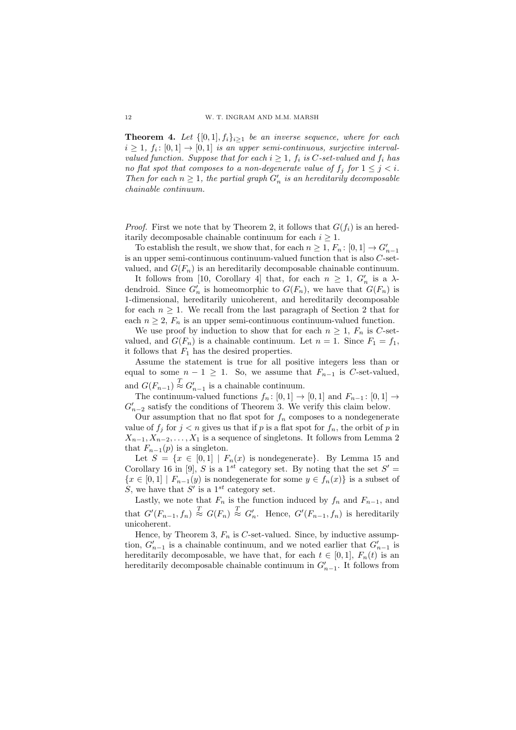**Theorem 4.** Let  $\{[0,1], f_i\}_{i\geq 1}$  be an inverse sequence, where for each  $i \geq 1$ ,  $f_i: [0,1] \to [0,1]$  is an upper semi-continuous, surjective intervalvalued function. Suppose that for each  $i > 1$ ,  $f_i$  is C-set-valued and  $f_i$  has no flat spot that composes to a non-degenerate value of  $f_j$  for  $1 \leq j \leq i$ . Then for each  $n \geq 1$ , the partial graph  $G'_n$  is an hereditarily decomposable chainable continuum.

*Proof.* First we note that by Theorem 2, it follows that  $G(f_i)$  is an hereditarily decomposable chainable continuum for each  $i \geq 1$ .

To establish the result, we show that, for each  $n \geq 1$ ,  $F_n$ :  $[0, 1] \rightarrow G'_{n-1}$ is an upper semi-continuous continuum-valued function that is also C-setvalued, and  $G(F_n)$  is an hereditarily decomposable chainable continuum.

It follows from [10, Corollary 4] that, for each  $n \geq 1$ ,  $G'_n$  is a  $\lambda$ dendroid. Since  $G'_n$  is homeomorphic to  $G(F_n)$ , we have that  $G(F_n)$  is 1-dimensional, hereditarily unicoherent, and hereditarily decomposable for each  $n \geq 1$ . We recall from the last paragraph of Section 2 that for each  $n \geq 2$ ,  $F_n$  is an upper semi-continuous continuum-valued function.

We use proof by induction to show that for each  $n \geq 1$ ,  $F_n$  is C-setvalued, and  $G(F_n)$  is a chainable continuum. Let  $n = 1$ . Since  $F_1 = f_1$ , it follows that  $F_1$  has the desired properties.

Assume the statement is true for all positive integers less than or equal to some  $n - 1 \geq 1$ . So, we assume that  $F_{n-1}$  is C-set-valued, and  $G(F_{n-1}) \stackrel{T}{\approx} G'_{n-1}$  is a chainable continuum.

The continuum-valued functions  $f_n: [0,1] \to [0,1]$  and  $F_{n-1}: [0,1] \to$  $G'_{n-2}$  satisfy the conditions of Theorem 3. We verify this claim below.

Our assumption that no flat spot for  $f_n$  composes to a nondegenerate value of  $f_i$  for  $j < n$  gives us that if p is a flat spot for  $f_n$ , the orbit of p in  $X_{n-1}, X_{n-2}, \ldots, X_1$  is a sequence of singletons. It follows from Lemma 2 that  $F_{n-1}(p)$  is a singleton.

Let  $S = \{x \in [0,1] \mid F_n(x)$  is nondegenerate}. By Lemma 15 and Corollary 16 in [9], S is a 1<sup>st</sup> category set. By noting that the set  $S'$  =  ${x \in [0,1] | F_{n-1}(y)$  is nondegenerate for some  $y \in f_n(x)$  is a subset of S, we have that S' is a  $1^{st}$  category set.

Lastly, we note that  $F_n$  is the function induced by  $f_n$  and  $F_{n-1}$ , and that  $G'(F_{n-1}, f_n) \stackrel{T}{\approx} G(F_n) \stackrel{T}{\approx} G'_n$ . Hence,  $G'(F_{n-1}, f_n)$  is hereditarily unicoherent.

Hence, by Theorem 3,  $F_n$  is C-set-valued. Since, by inductive assumption,  $G'_{n-1}$  is a chainable continuum, and we noted earlier that  $G'_{n-1}$  is hereditarily decomposable, we have that, for each  $t \in [0,1]$ ,  $F_n(t)$  is an hereditarily decomposable chainable continuum in  $G'_{n-1}$ . It follows from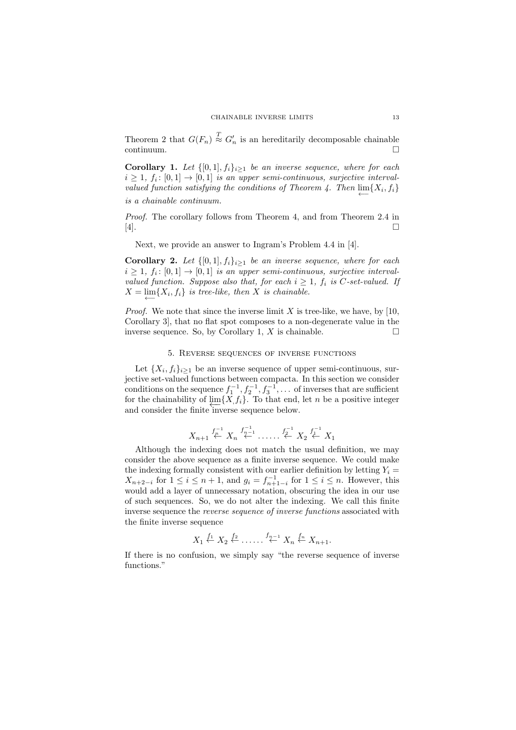Theorem 2 that  $G(F_n) \stackrel{T}{\approx} G'_n$  is an hereditarily decomposable chainable continuum.

**Corollary 1.** Let  $\{[0,1], f_i\}_{i\geq 1}$  be an inverse sequence, where for each  $i \geq 1$ ,  $f_i: [0,1] \to [0,1]$  is an upper semi-continuous, surjective intervalvalued function satisfying the conditions of Theorem 4. Then  $\lim_{\longleftarrow} \{X_i, f_i\}$ is a chainable continuum.

Proof. The corollary follows from Theorem 4, and from Theorem 2.4 in [4].

Next, we provide an answer to Ingram's Problem 4.4 in [4].

**Corollary 2.** Let  $\{[0,1], f_i\}_{i\geq 1}$  be an inverse sequence, where for each  $i \geq 1$ ,  $f_i: [0,1] \to [0,1]$  is an upper semi-continuous, surjective intervalvalued function. Suppose also that, for each  $i \geq 1$ ,  $f_i$  is C-set-valued. If  $X = \lim_{n \to \infty} \{X_i, f_i\}$  is tree-like, then X is chainable.

*Proof.* We note that since the inverse limit  $X$  is tree-like, we have, by [10, Corollary 3], that no flat spot composes to a non-degenerate value in the inverse sequence. So, by Corollary 1,  $X$  is chainable.  $\square$ 

### 5. Reverse sequences of inverse functions

Let  $\{X_i, f_i\}_{i\geq 1}$  be an inverse sequence of upper semi-continuous, surjective set-valued functions between compacta. In this section we consider conditions on the sequence  $f_1^{-1}, f_2^{-1}, f_3^{-1}, \ldots$  of inverses that are sufficient for the chainability of  $\varprojlim\{X,f_i\}$ . To that end, let *n* be a positive integer and consider the finite inverse sequence below.

$$
X_{n+1} \stackrel{f_{n}^{-1}}{\leftarrow} X_n \stackrel{f_{n-1}^{-1}}{\leftarrow} \dots \stackrel{f_2^{-1}}{\leftarrow} X_2 \stackrel{f_1^{-1}}{\leftarrow} X_1
$$

Although the indexing does not match the usual definition, we may consider the above sequence as a finite inverse sequence. We could make the indexing formally consistent with our earlier definition by letting  $Y_i =$  $X_{n+2-i}$  for  $1 \leq i \leq n+1$ , and  $g_i = f_{n+1-i}^{-1}$  for  $1 \leq i \leq n$ . However, this would add a layer of unnecessary notation, obscuring the idea in our use of such sequences. So, we do not alter the indexing. We call this finite inverse sequence the reverse sequence of inverse functions associated with the finite inverse sequence

$$
X_1 \stackrel{f_1}{\leftarrow} X_2 \stackrel{f_2}{\leftarrow} \ldots \stackrel{f_{n-1}}{\leftarrow} X_n \stackrel{f_n}{\leftarrow} X_{n+1}.
$$

If there is no confusion, we simply say "the reverse sequence of inverse functions."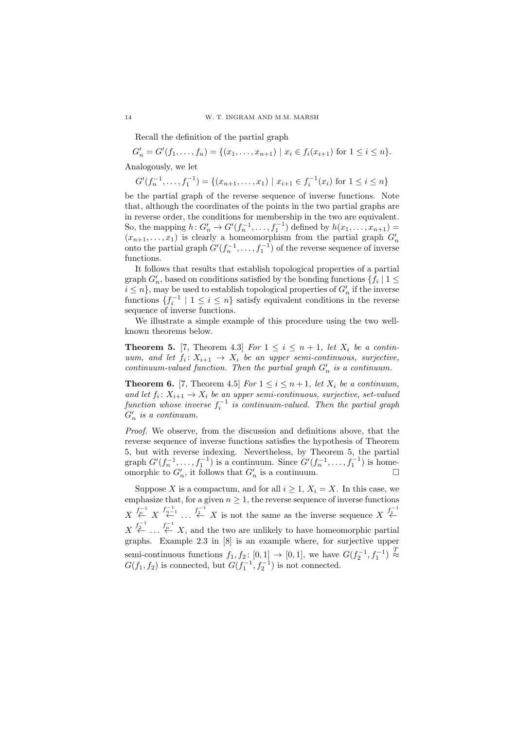Recall the definition of the partial graph

 $G'_n = G'(f_1, \ldots, f_n) = \{(x_1, \ldots, x_{n+1}) \mid x_i \in f_i(x_{i+1}) \text{ for } 1 \leq i \leq n\}.$ Analogously, we let

$$
G'(f_n^{-1}, \dots, f_1^{-1}) = \{(x_{n+1}, \dots, x_1) \mid x_{i+1} \in f_i^{-1}(x_i) \text{ for } 1 \le i \le n\}
$$

be the partial graph of the reverse sequence of inverse functions. Note that, although the coordinates of the points in the two partial graphs are in reverse order, the conditions for membership in the two are equivalent. So, the mapping  $h: G'_{n} \to G'(f_{n}^{-1}, \ldots, f_{1}^{-1})$  defined by  $h(x_{1}, \ldots, x_{n+1}) =$  $(x_{n+1},...,x_1)$  is clearly a homeomorphism from the partial graph  $G'_n$  onto the partial graph  $G'(f_n^{-1},...,f_1^{-1})$  of the reverse sequence of inverse functions.

It follows that results that establish topological properties of a partial graph  $G_n'$ , based on conditions satisfied by the bonding functions  $\{f_i \mid 1 \leq i \leq n\}$  $i \leq n$ , may be used to establish topological properties of  $G'_n$  if the inverse functions  $\{f_i^{-1} \mid 1 \leq i \leq n\}$  satisfy equivalent conditions in the reverse sequence of inverse functions.

We illustrate a simple example of this procedure using the two wellknown theorems below.

**Theorem 5.** [7, Theorem 4.3] For  $1 \leq i \leq n+1$ , let  $X_i$  be a continuum, and let  $f_i: X_{i+1} \to X_i$  be an upper semi-continuous, surjective, continuum-valued function. Then the partial graph  $G'_n$  is a continuum.

**Theorem 6.** [7, Theorem 4.5] For  $1 \leq i \leq n+1$ , let  $X_i$  be a continuum, and let  $f_i: X_{i+1} \to X_i$  be an upper semi-continuous, surjective, set-valued function whose inverse  $f_i^{-1}$  is continuum-valued. Then the partial graph  $G'_n$  is a continuum.

Proof. We observe, from the discussion and definitions above, that the reverse sequence of inverse functions satisfies the hypothesis of Theorem 5, but with reverse indexing. Nevertheless, by Theorem 5, the partial graph  $G'(f_n^{-1}, \ldots, f_1^{-1})$  is a continuum. Since  $G'(f_n^{-1}, \ldots, f_1^{-1})$  is homeomorphic to  $G'_n$ , it follows that  $G'_n$  is a continuum.

Suppose X is a compactum, and for all  $i \geq 1$ ,  $X_i = X$ . In this case, we emphasize that, for a given  $n \geq 1$ , the reverse sequence of inverse functions  $X \stackrel{f^{-1}_{\mathcal{P}}}{\longrightarrow} X \stackrel{f^{-1}_{\mathcal{P}}}{\longrightarrow} \ldots \stackrel{f^{-1}_{\mathcal{P}}}{\longleftarrow} X$  is not the same as the inverse sequence  $X \stackrel{f^{-1}_{\mathcal{P}}}{\longleftarrow} X$  $X \stackrel{f_2^{-1}}{\leftarrow} \dots \stackrel{f_r^{-1}}{\leftarrow} X$ , and the two are unlikely to have homeomorphic partial graphs. Example 2.3 in [8] is an example where, for surjective upper semi-continuous functions  $f_1, f_2: [0,1] \rightarrow [0,1]$ , we have  $G(f_2^{-1}, f_1^{-1}) \stackrel{T}{\approx}$  $G(f_1, f_2)$  is connected, but  $G(f_1^{-1}, f_2^{-1})$  is not connected.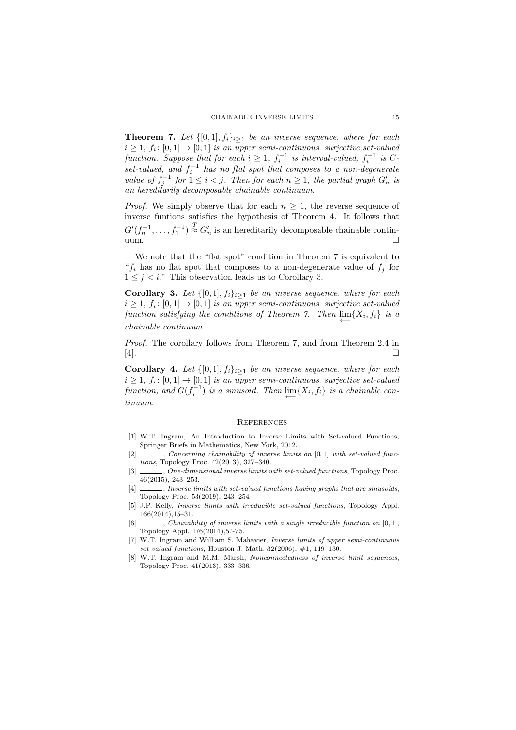**Theorem 7.** Let  $\{[0,1], f_i\}_{i\geq 1}$  be an inverse sequence, where for each  $i \geq 1$ ,  $f_i: [0,1] \to [0,1]$  is an upper semi-continuous, surjective set-valued function. Suppose that for each  $i \geq 1$ ,  $f_i^{-1}$  is interval-valued,  $f_i^{-1}$  is Cset-valued, and  $f_i^{-1}$  has no flat spot that composes to a non-degenerate value of  $f_j^{-1}$  for  $1 \leq i < j$ . Then for each  $n \geq 1$ , the partial graph  $G'_n$  is an hereditarily decomposable chainable continuum.

*Proof.* We simply observe that for each  $n \geq 1$ , the reverse sequence of inverse funtions satisfies the hypothesis of Theorem 4. It follows that  $G'(f_n^{-1}, \ldots, f_1^{-1}) \stackrel{T}{\approx} G'_n$  is an hereditarily decomposable chainable contin- $\Box$ 

We note that the "flat spot" condition in Theorem 7 is equivalent to " $f_i$  has no flat spot that composes to a non-degenerate value of  $f_j$  for  $1 \leq j \leq i$ ." This observation leads us to Corollary 3.

**Corollary 3.** Let  $\{[0,1], f_i\}_{i\geq 1}$  be an inverse sequence, where for each  $i \geq 1$ ,  $f_i: [0,1] \to [0,1]$  is an upper semi-continuous, surjective set-valued function satisfying the conditions of Theorem 7. Then  $\lim_{\longleftarrow} \{X_i, f_i\}$  is a chainable continuum.

Proof. The corollary follows from Theorem 7, and from Theorem 2.4 in [4].

**Corollary 4.** Let  $\{[0,1], f_i\}_{i\geq 1}$  be an inverse sequence, where for each  $i \geq 1$ ,  $f_i: [0,1] \to [0,1]$  is an upper semi-continuous, surjective set-valued function, and  $G(f_i^{-1})$  is a sinusoid. Then  $\lim_{\longleftarrow} \{X_i, f_i\}$  is a chainable continuum.

#### **REFERENCES**

- [1] W.T. Ingram, An Introduction to Inverse Limits with Set-valued Functions, Springer Briefs in Mathematics, New York, 2012.
- $[2]$  , Concerning chainability of inverse limits on  $[0, 1]$  with set-valued functions, Topology Proc. 42(2013), 327–340.
- [3] , One-dimensional inverse limits with set-valued functions, Topology Proc. 46(2015), 243–253.
- [4] \_\_\_\_, Inverse limits with set-valued functions having graphs that are sinusoids, Topology Proc. 53(2019), 243–254.
- [5] J.P. Kelly, Inverse limits with irreducible set-valued functions, Topology Appl. 166(2014),15–31.
- $\Box$ , Chainability of inverse limits with a single irreducible function on [0, 1], Topology Appl. 176(2014),57-75.
- [7] W.T. Ingram and William S. Mahavier, Inverse limits of upper semi-continuous set valued functions, Houston J. Math. 32(2006), #1, 119–130.
- [8] W.T. Ingram and M.M. Marsh, Nonconnectedness of inverse limit sequences, Topology Proc. 41(2013), 333–336.